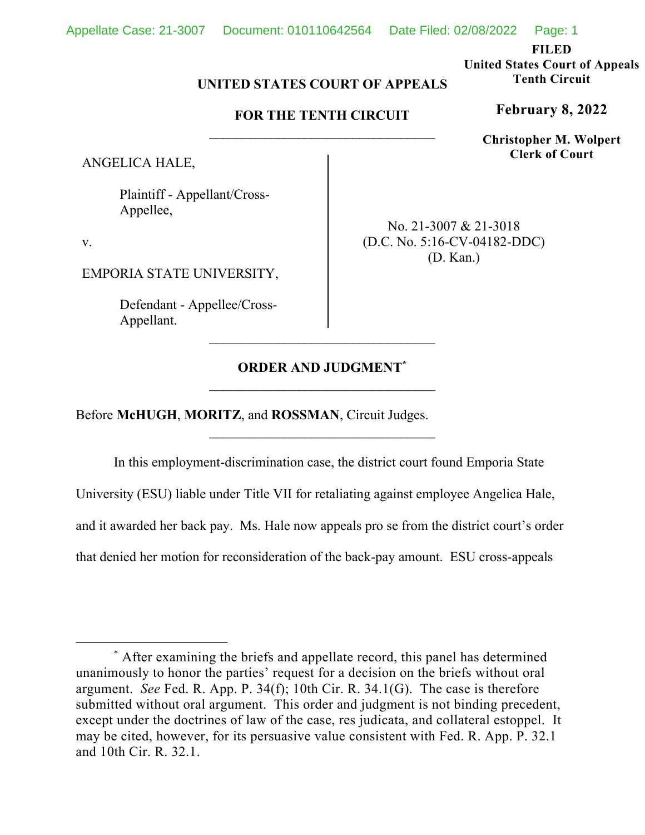**FILED** 

**United States Court of Appeals Tenth Circuit** 

**February 8, 2022**

**Christopher M. Wolpert Clerk of Court**

# **UNITED STATES COURT OF APPEALS**

## **FOR THE TENTH CIRCUIT**

ANGELICA HALE,

 Plaintiff - Appellant/Cross- Appellee,

v.

EMPORIA STATE UNIVERSITY,

 Defendant - Appellee/Cross- Appellant.

No. 21-3007 & 21-3018 (D.C. No. 5:16-CV-04182-DDC) (D. Kan.)

# **ORDER AND JUDGMENT\***

Before **McHUGH**, **MORITZ**, and **ROSSMAN**, Circuit Judges.

 In this employment-discrimination case, the district court found Emporia State University (ESU) liable under Title VII for retaliating against employee Angelica Hale, and it awarded her back pay. Ms. Hale now appeals pro se from the district court's order that denied her motion for reconsideration of the back-pay amount. ESU cross-appeals

<sup>\*</sup> After examining the briefs and appellate record, this panel has determined unanimously to honor the parties' request for a decision on the briefs without oral argument. *See* Fed. R. App. P. 34(f); 10th Cir. R. 34.1(G). The case is therefore submitted without oral argument. This order and judgment is not binding precedent, except under the doctrines of law of the case, res judicata, and collateral estoppel. It may be cited, however, for its persuasive value consistent with Fed. R. App. P. 32.1 and 10th Cir. R. 32.1.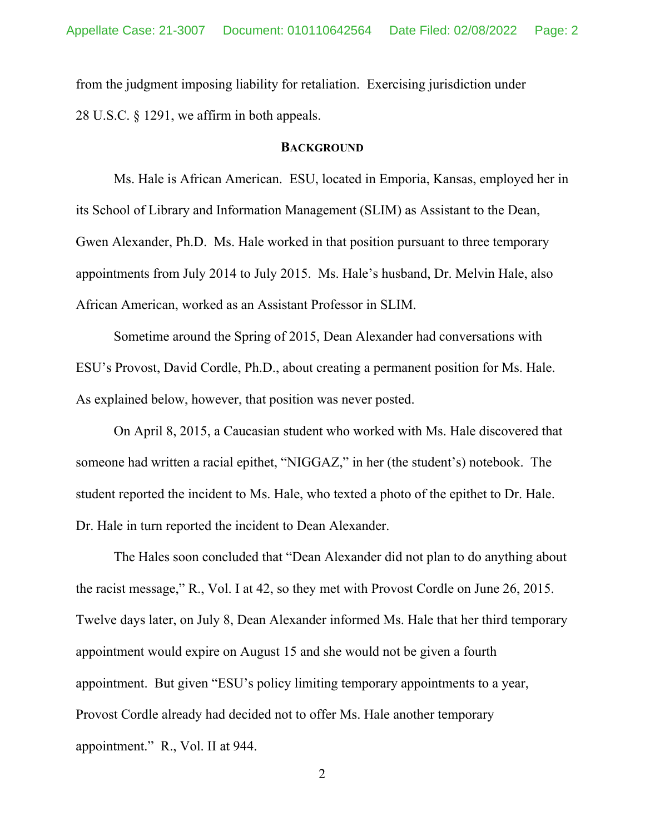from the judgment imposing liability for retaliation. Exercising jurisdiction under 28 U.S.C. § 1291, we affirm in both appeals.

#### **BACKGROUND**

 Ms. Hale is African American. ESU, located in Emporia, Kansas, employed her in its School of Library and Information Management (SLIM) as Assistant to the Dean, Gwen Alexander, Ph.D. Ms. Hale worked in that position pursuant to three temporary appointments from July 2014 to July 2015. Ms. Hale's husband, Dr. Melvin Hale, also African American, worked as an Assistant Professor in SLIM.

 Sometime around the Spring of 2015, Dean Alexander had conversations with ESU's Provost, David Cordle, Ph.D., about creating a permanent position for Ms. Hale. As explained below, however, that position was never posted.

 On April 8, 2015, a Caucasian student who worked with Ms. Hale discovered that someone had written a racial epithet, "NIGGAZ," in her (the student's) notebook. The student reported the incident to Ms. Hale, who texted a photo of the epithet to Dr. Hale. Dr. Hale in turn reported the incident to Dean Alexander.

 The Hales soon concluded that "Dean Alexander did not plan to do anything about the racist message," R., Vol. I at 42, so they met with Provost Cordle on June 26, 2015. Twelve days later, on July 8, Dean Alexander informed Ms. Hale that her third temporary appointment would expire on August 15 and she would not be given a fourth appointment. But given "ESU's policy limiting temporary appointments to a year, Provost Cordle already had decided not to offer Ms. Hale another temporary appointment." R., Vol. II at 944.

2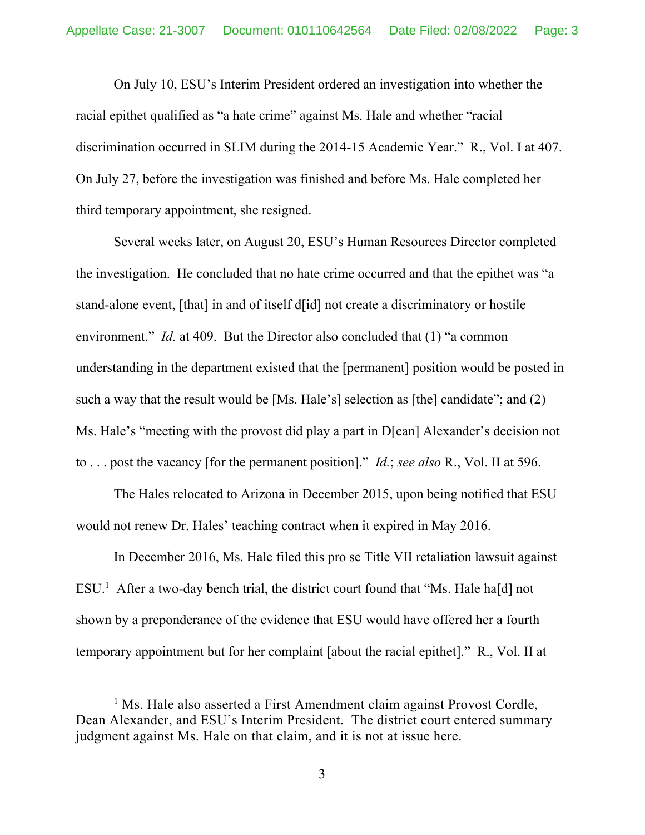On July 10, ESU's Interim President ordered an investigation into whether the racial epithet qualified as "a hate crime" against Ms. Hale and whether "racial discrimination occurred in SLIM during the 2014-15 Academic Year." R., Vol. I at 407. On July 27, before the investigation was finished and before Ms. Hale completed her third temporary appointment, she resigned.

 Several weeks later, on August 20, ESU's Human Resources Director completed the investigation. He concluded that no hate crime occurred and that the epithet was "a stand-alone event, [that] in and of itself d[id] not create a discriminatory or hostile environment." *Id.* at 409. But the Director also concluded that (1) "a common understanding in the department existed that the [permanent] position would be posted in such a way that the result would be [Ms. Hale's] selection as [the] candidate"; and (2) Ms. Hale's "meeting with the provost did play a part in D[ean] Alexander's decision not to . . . post the vacancy [for the permanent position]." *Id.*; *see also* R., Vol. II at 596.

 The Hales relocated to Arizona in December 2015, upon being notified that ESU would not renew Dr. Hales' teaching contract when it expired in May 2016.

 In December 2016, Ms. Hale filed this pro se Title VII retaliation lawsuit against  $ESU<sup>1</sup>$  After a two-day bench trial, the district court found that "Ms. Hale ha[d] not shown by a preponderance of the evidence that ESU would have offered her a fourth temporary appointment but for her complaint [about the racial epithet]." R., Vol. II at

<sup>&</sup>lt;sup>1</sup> Ms. Hale also asserted a First Amendment claim against Provost Cordle, Dean Alexander, and ESU's Interim President. The district court entered summary judgment against Ms. Hale on that claim, and it is not at issue here.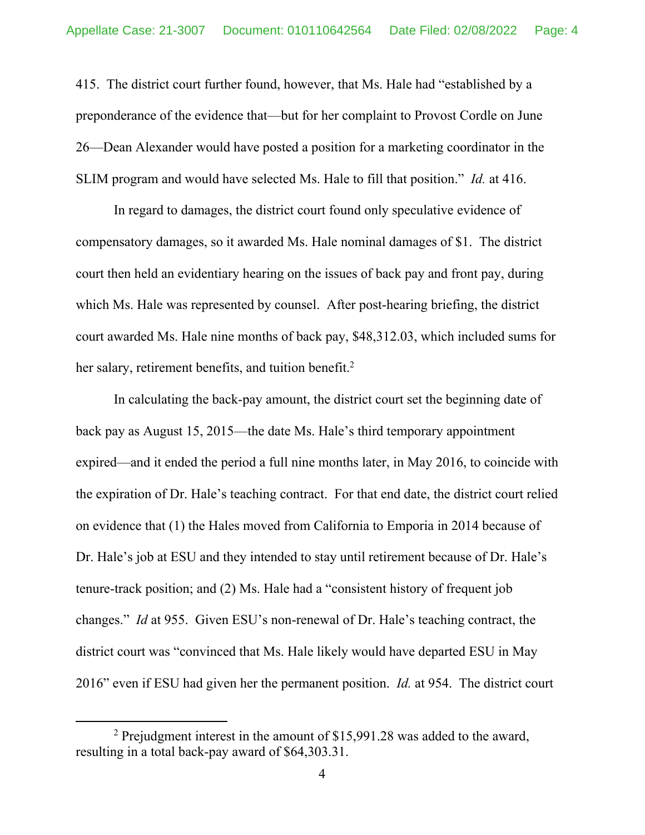415. The district court further found, however, that Ms. Hale had "established by a preponderance of the evidence that—but for her complaint to Provost Cordle on June 26—Dean Alexander would have posted a position for a marketing coordinator in the SLIM program and would have selected Ms. Hale to fill that position." *Id.* at 416.

 In regard to damages, the district court found only speculative evidence of compensatory damages, so it awarded Ms. Hale nominal damages of \$1. The district court then held an evidentiary hearing on the issues of back pay and front pay, during which Ms. Hale was represented by counsel. After post-hearing briefing, the district court awarded Ms. Hale nine months of back pay, \$48,312.03, which included sums for her salary, retirement benefits, and tuition benefit.<sup>2</sup>

 In calculating the back-pay amount, the district court set the beginning date of back pay as August 15, 2015—the date Ms. Hale's third temporary appointment expired—and it ended the period a full nine months later, in May 2016, to coincide with the expiration of Dr. Hale's teaching contract. For that end date, the district court relied on evidence that (1) the Hales moved from California to Emporia in 2014 because of Dr. Hale's job at ESU and they intended to stay until retirement because of Dr. Hale's tenure-track position; and (2) Ms. Hale had a "consistent history of frequent job changes." *Id* at 955. Given ESU's non-renewal of Dr. Hale's teaching contract, the district court was "convinced that Ms. Hale likely would have departed ESU in May 2016" even if ESU had given her the permanent position. *Id.* at 954. The district court

<sup>&</sup>lt;sup>2</sup> Prejudgment interest in the amount of  $$15,991.28$  was added to the award, resulting in a total back-pay award of \$64,303.31.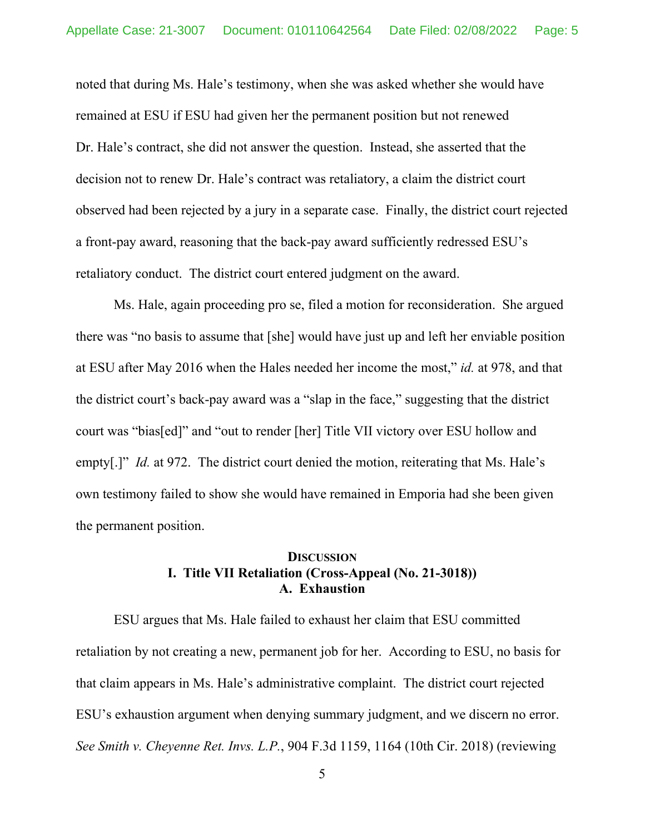noted that during Ms. Hale's testimony, when she was asked whether she would have remained at ESU if ESU had given her the permanent position but not renewed Dr. Hale's contract, she did not answer the question. Instead, she asserted that the decision not to renew Dr. Hale's contract was retaliatory, a claim the district court observed had been rejected by a jury in a separate case. Finally, the district court rejected a front-pay award, reasoning that the back-pay award sufficiently redressed ESU's retaliatory conduct. The district court entered judgment on the award.

 Ms. Hale, again proceeding pro se, filed a motion for reconsideration. She argued there was "no basis to assume that [she] would have just up and left her enviable position at ESU after May 2016 when the Hales needed her income the most," *id.* at 978, and that the district court's back-pay award was a "slap in the face," suggesting that the district court was "bias[ed]" and "out to render [her] Title VII victory over ESU hollow and empty[.]" *Id.* at 972. The district court denied the motion, reiterating that Ms. Hale's own testimony failed to show she would have remained in Emporia had she been given the permanent position.

### **DISCUSSION I. Title VII Retaliation (Cross-Appeal (No. 21-3018)) A. Exhaustion**

 ESU argues that Ms. Hale failed to exhaust her claim that ESU committed retaliation by not creating a new, permanent job for her. According to ESU, no basis for that claim appears in Ms. Hale's administrative complaint. The district court rejected ESU's exhaustion argument when denying summary judgment, and we discern no error. *See Smith v. Cheyenne Ret. Invs. L.P.*, 904 F.3d 1159, 1164 (10th Cir. 2018) (reviewing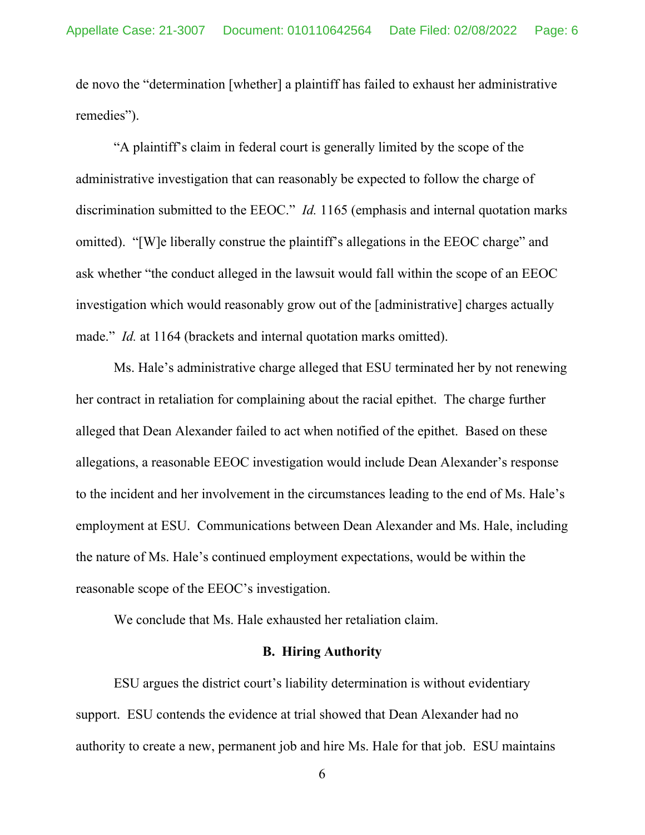de novo the "determination [whether] a plaintiff has failed to exhaust her administrative remedies").

 "A plaintiff's claim in federal court is generally limited by the scope of the administrative investigation that can reasonably be expected to follow the charge of discrimination submitted to the EEOC." *Id.* 1165 (emphasis and internal quotation marks omitted). "[W]e liberally construe the plaintiff's allegations in the EEOC charge" and ask whether "the conduct alleged in the lawsuit would fall within the scope of an EEOC investigation which would reasonably grow out of the [administrative] charges actually made." *Id.* at 1164 (brackets and internal quotation marks omitted).

 Ms. Hale's administrative charge alleged that ESU terminated her by not renewing her contract in retaliation for complaining about the racial epithet. The charge further alleged that Dean Alexander failed to act when notified of the epithet. Based on these allegations, a reasonable EEOC investigation would include Dean Alexander's response to the incident and her involvement in the circumstances leading to the end of Ms. Hale's employment at ESU. Communications between Dean Alexander and Ms. Hale, including the nature of Ms. Hale's continued employment expectations, would be within the reasonable scope of the EEOC's investigation.

We conclude that Ms. Hale exhausted her retaliation claim.

#### **B. Hiring Authority**

 ESU argues the district court's liability determination is without evidentiary support. ESU contends the evidence at trial showed that Dean Alexander had no authority to create a new, permanent job and hire Ms. Hale for that job. ESU maintains

6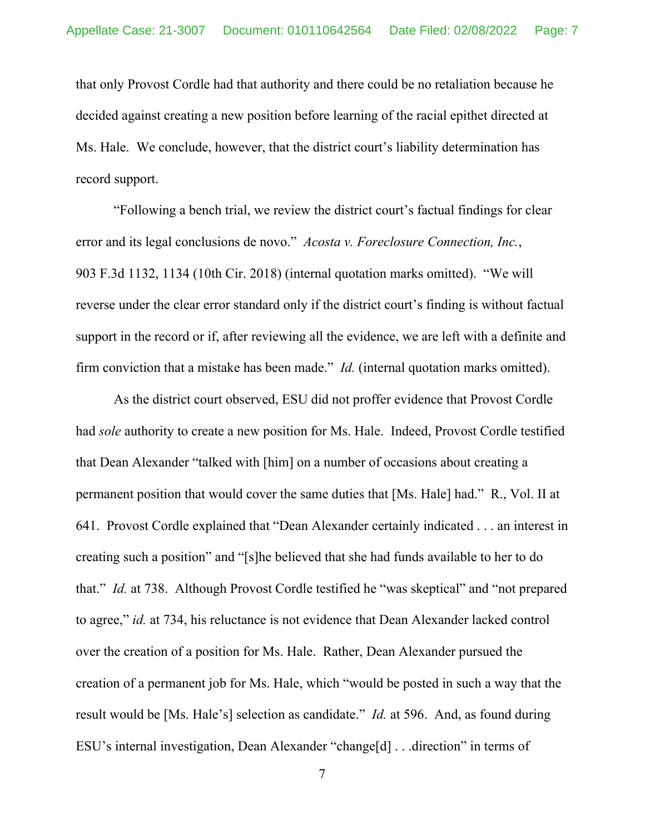that only Provost Cordle had that authority and there could be no retaliation because he decided against creating a new position before learning of the racial epithet directed at Ms. Hale. We conclude, however, that the district court's liability determination has record support.

 "Following a bench trial, we review the district court's factual findings for clear error and its legal conclusions de novo." *Acosta v. Foreclosure Connection, Inc.*, 903 F.3d 1132, 1134 (10th Cir. 2018) (internal quotation marks omitted). "We will reverse under the clear error standard only if the district court's finding is without factual support in the record or if, after reviewing all the evidence, we are left with a definite and firm conviction that a mistake has been made." *Id.* (internal quotation marks omitted).

 As the district court observed, ESU did not proffer evidence that Provost Cordle had *sole* authority to create a new position for Ms. Hale. Indeed, Provost Cordle testified that Dean Alexander "talked with [him] on a number of occasions about creating a permanent position that would cover the same duties that [Ms. Hale] had." R., Vol. II at 641. Provost Cordle explained that "Dean Alexander certainly indicated . . . an interest in creating such a position" and "[s]he believed that she had funds available to her to do that." *Id.* at 738. Although Provost Cordle testified he "was skeptical" and "not prepared to agree," *id.* at 734, his reluctance is not evidence that Dean Alexander lacked control over the creation of a position for Ms. Hale. Rather, Dean Alexander pursued the creation of a permanent job for Ms. Hale, which "would be posted in such a way that the result would be [Ms. Hale's] selection as candidate." *Id.* at 596. And, as found during ESU's internal investigation, Dean Alexander "change[d] . . .direction" in terms of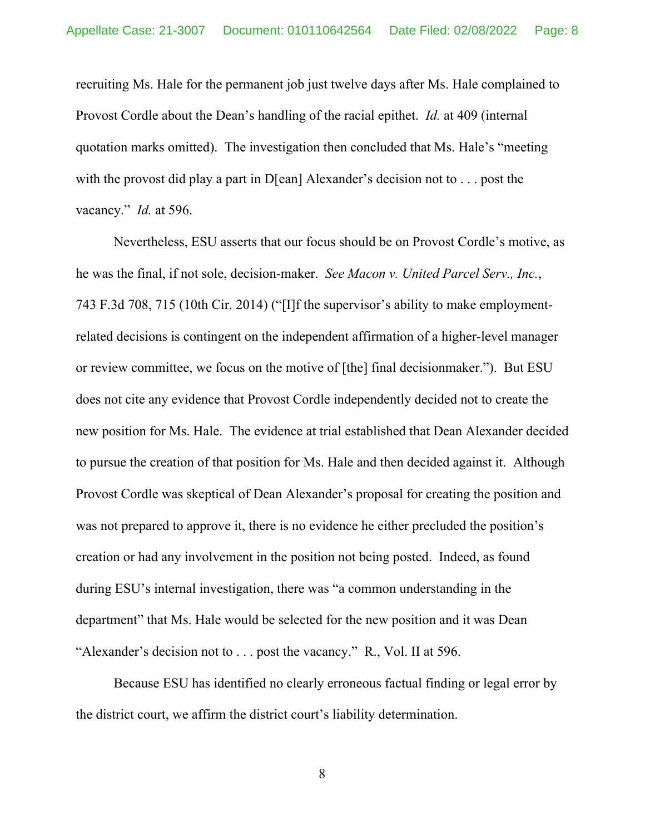recruiting Ms. Hale for the permanent job just twelve days after Ms. Hale complained to Provost Cordle about the Dean's handling of the racial epithet. *Id.* at 409 (internal quotation marks omitted). The investigation then concluded that Ms. Hale's "meeting with the provost did play a part in D[ean] Alexander's decision not to . . . post the vacancy." *Id.* at 596.

 Nevertheless, ESU asserts that our focus should be on Provost Cordle's motive, as he was the final, if not sole, decision-maker. *See Macon v. United Parcel Serv., Inc.*, 743 F.3d 708, 715 (10th Cir. 2014) ("[I]f the supervisor's ability to make employmentrelated decisions is contingent on the independent affirmation of a higher-level manager or review committee, we focus on the motive of [the] final decisionmaker."). But ESU does not cite any evidence that Provost Cordle independently decided not to create the new position for Ms. Hale. The evidence at trial established that Dean Alexander decided to pursue the creation of that position for Ms. Hale and then decided against it. Although Provost Cordle was skeptical of Dean Alexander's proposal for creating the position and was not prepared to approve it, there is no evidence he either precluded the position's creation or had any involvement in the position not being posted. Indeed, as found during ESU's internal investigation, there was "a common understanding in the department" that Ms. Hale would be selected for the new position and it was Dean "Alexander's decision not to . . . post the vacancy." R., Vol. II at 596.

 Because ESU has identified no clearly erroneous factual finding or legal error by the district court, we affirm the district court's liability determination.

8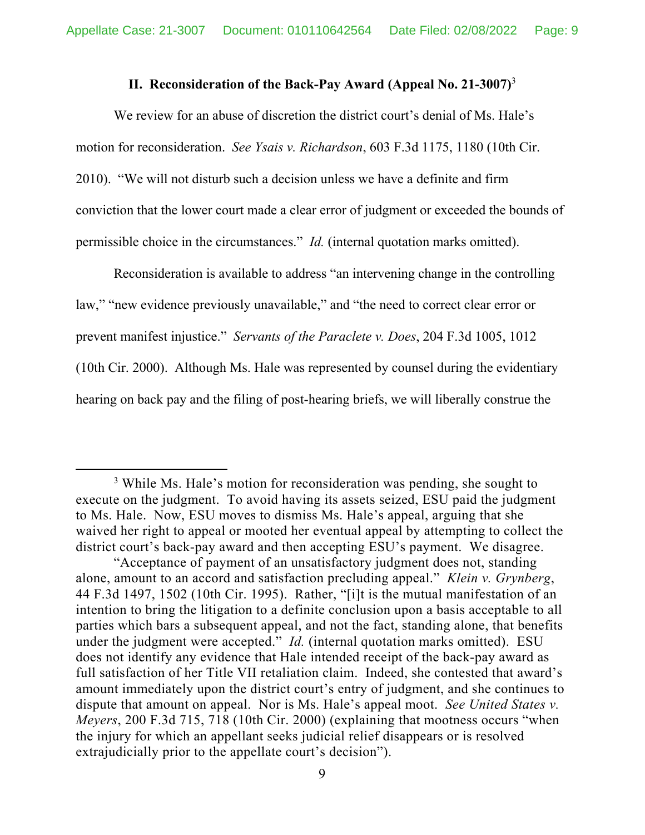### **II. Reconsideration of the Back-Pay Award (Appeal No. 21-3007)**<sup>3</sup>

 We review for an abuse of discretion the district court's denial of Ms. Hale's motion for reconsideration. *See Ysais v. Richardson*, 603 F.3d 1175, 1180 (10th Cir. 2010). "We will not disturb such a decision unless we have a definite and firm conviction that the lower court made a clear error of judgment or exceeded the bounds of permissible choice in the circumstances." *Id.* (internal quotation marks omitted).

 Reconsideration is available to address "an intervening change in the controlling law," "new evidence previously unavailable," and "the need to correct clear error or prevent manifest injustice." *Servants of the Paraclete v. Does*, 204 F.3d 1005, 1012 (10th Cir. 2000). Although Ms. Hale was represented by counsel during the evidentiary hearing on back pay and the filing of post-hearing briefs, we will liberally construe the

<sup>&</sup>lt;sup>3</sup> While Ms. Hale's motion for reconsideration was pending, she sought to execute on the judgment. To avoid having its assets seized, ESU paid the judgment to Ms. Hale. Now, ESU moves to dismiss Ms. Hale's appeal, arguing that she waived her right to appeal or mooted her eventual appeal by attempting to collect the district court's back-pay award and then accepting ESU's payment. We disagree.

<sup>&</sup>quot;Acceptance of payment of an unsatisfactory judgment does not, standing alone, amount to an accord and satisfaction precluding appeal." *Klein v. Grynberg*, 44 F.3d 1497, 1502 (10th Cir. 1995). Rather, "[i]t is the mutual manifestation of an intention to bring the litigation to a definite conclusion upon a basis acceptable to all parties which bars a subsequent appeal, and not the fact, standing alone, that benefits under the judgment were accepted." *Id.* (internal quotation marks omitted). ESU does not identify any evidence that Hale intended receipt of the back-pay award as full satisfaction of her Title VII retaliation claim. Indeed, she contested that award's amount immediately upon the district court's entry of judgment, and she continues to dispute that amount on appeal. Nor is Ms. Hale's appeal moot. *See United States v. Meyers*, 200 F.3d 715, 718 (10th Cir. 2000) (explaining that mootness occurs "when the injury for which an appellant seeks judicial relief disappears or is resolved extrajudicially prior to the appellate court's decision").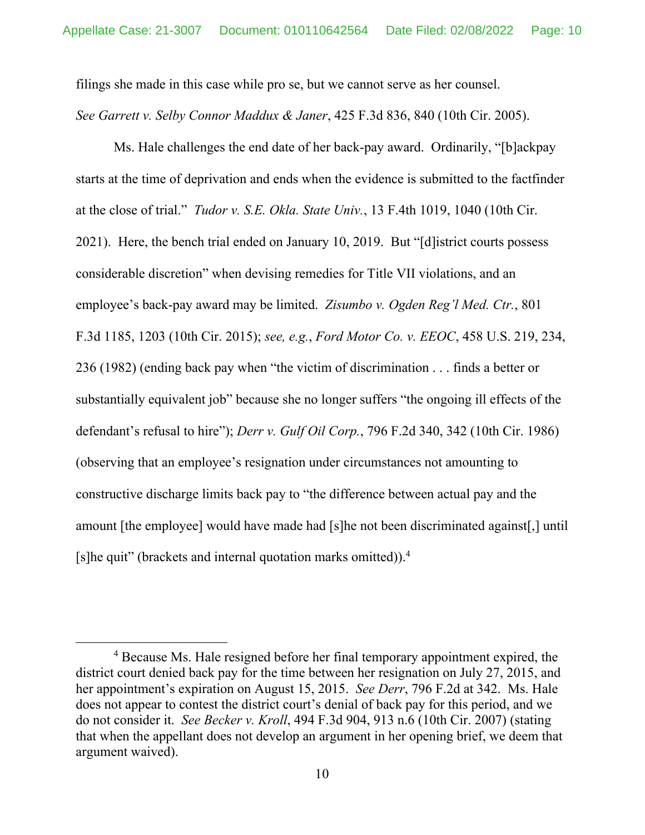filings she made in this case while pro se, but we cannot serve as her counsel. *See Garrett v. Selby Connor Maddux & Janer*, 425 F.3d 836, 840 (10th Cir. 2005).

 Ms. Hale challenges the end date of her back-pay award. Ordinarily, "[b]ackpay starts at the time of deprivation and ends when the evidence is submitted to the factfinder at the close of trial." *Tudor v. S.E. Okla. State Univ.*, 13 F.4th 1019, 1040 (10th Cir. 2021). Here, the bench trial ended on January 10, 2019. But "[d]istrict courts possess considerable discretion" when devising remedies for Title VII violations, and an employee's back-pay award may be limited. *Zisumbo v. Ogden Reg'l Med. Ctr.*, 801 F.3d 1185, 1203 (10th Cir. 2015); *see, e.g.*, *Ford Motor Co. v. EEOC*, 458 U.S. 219, 234, 236 (1982) (ending back pay when "the victim of discrimination . . . finds a better or substantially equivalent job" because she no longer suffers "the ongoing ill effects of the defendant's refusal to hire"); *Derr v. Gulf Oil Corp.*, 796 F.2d 340, 342 (10th Cir. 1986) (observing that an employee's resignation under circumstances not amounting to constructive discharge limits back pay to "the difference between actual pay and the amount [the employee] would have made had [s]he not been discriminated against[,] until [s]he quit" (brackets and internal quotation marks omitted)).4

<sup>&</sup>lt;sup>4</sup> Because Ms. Hale resigned before her final temporary appointment expired, the district court denied back pay for the time between her resignation on July 27, 2015, and her appointment's expiration on August 15, 2015. *See Derr*, 796 F.2d at 342. Ms. Hale does not appear to contest the district court's denial of back pay for this period, and we do not consider it. *See Becker v. Kroll*, 494 F.3d 904, 913 n.6 (10th Cir. 2007) (stating that when the appellant does not develop an argument in her opening brief, we deem that argument waived).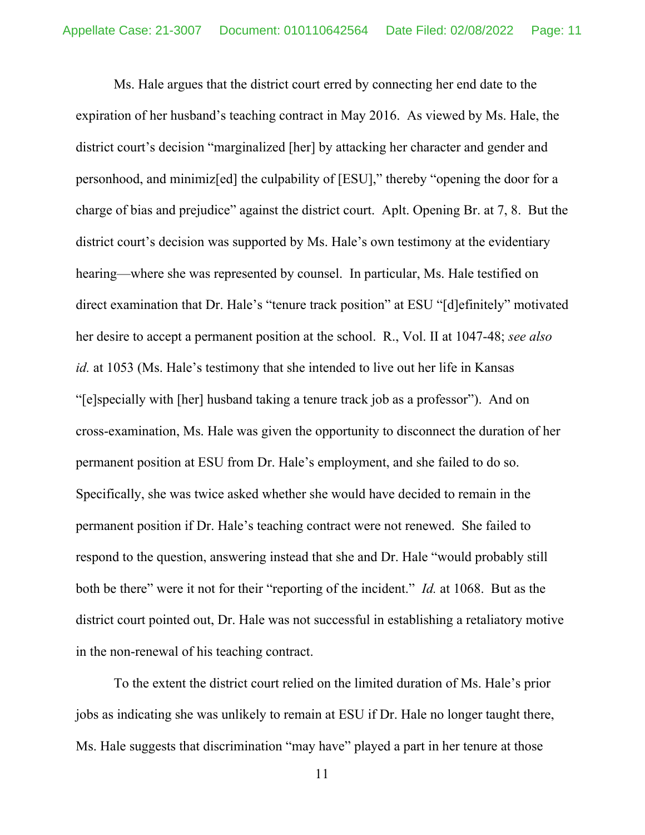Ms. Hale argues that the district court erred by connecting her end date to the expiration of her husband's teaching contract in May 2016. As viewed by Ms. Hale, the district court's decision "marginalized [her] by attacking her character and gender and personhood, and minimiz[ed] the culpability of [ESU]," thereby "opening the door for a charge of bias and prejudice" against the district court. Aplt. Opening Br. at 7, 8. But the district court's decision was supported by Ms. Hale's own testimony at the evidentiary hearing—where she was represented by counsel. In particular, Ms. Hale testified on direct examination that Dr. Hale's "tenure track position" at ESU "[d]efinitely" motivated her desire to accept a permanent position at the school. R., Vol. II at 1047-48; *see also id.* at 1053 (Ms. Hale's testimony that she intended to live out her life in Kansas "[e]specially with [her] husband taking a tenure track job as a professor"). And on cross-examination, Ms. Hale was given the opportunity to disconnect the duration of her permanent position at ESU from Dr. Hale's employment, and she failed to do so. Specifically, she was twice asked whether she would have decided to remain in the permanent position if Dr. Hale's teaching contract were not renewed. She failed to respond to the question, answering instead that she and Dr. Hale "would probably still both be there" were it not for their "reporting of the incident." *Id.* at 1068. But as the district court pointed out, Dr. Hale was not successful in establishing a retaliatory motive in the non-renewal of his teaching contract.

 To the extent the district court relied on the limited duration of Ms. Hale's prior jobs as indicating she was unlikely to remain at ESU if Dr. Hale no longer taught there, Ms. Hale suggests that discrimination "may have" played a part in her tenure at those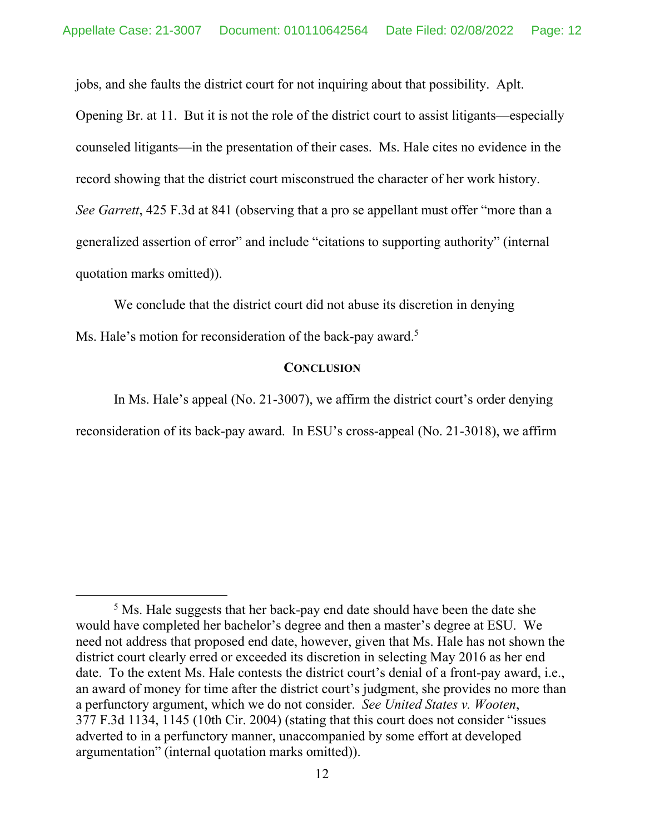jobs, and she faults the district court for not inquiring about that possibility. Aplt.

Opening Br. at 11. But it is not the role of the district court to assist litigants—especially counseled litigants—in the presentation of their cases. Ms. Hale cites no evidence in the record showing that the district court misconstrued the character of her work history. *See Garrett*, 425 F.3d at 841 (observing that a pro se appellant must offer "more than a generalized assertion of error" and include "citations to supporting authority" (internal quotation marks omitted)).

 We conclude that the district court did not abuse its discretion in denying Ms. Hale's motion for reconsideration of the back-pay award.<sup>5</sup>

#### **CONCLUSION**

 In Ms. Hale's appeal (No. 21-3007), we affirm the district court's order denying reconsideration of its back-pay award. In ESU's cross-appeal (No. 21-3018), we affirm

<sup>&</sup>lt;sup>5</sup> Ms. Hale suggests that her back-pay end date should have been the date she would have completed her bachelor's degree and then a master's degree at ESU. We need not address that proposed end date, however, given that Ms. Hale has not shown the district court clearly erred or exceeded its discretion in selecting May 2016 as her end date. To the extent Ms. Hale contests the district court's denial of a front-pay award, i.e., an award of money for time after the district court's judgment, she provides no more than a perfunctory argument, which we do not consider. *See United States v. Wooten*, 377 F.3d 1134, 1145 (10th Cir. 2004) (stating that this court does not consider "issues adverted to in a perfunctory manner, unaccompanied by some effort at developed argumentation" (internal quotation marks omitted)).